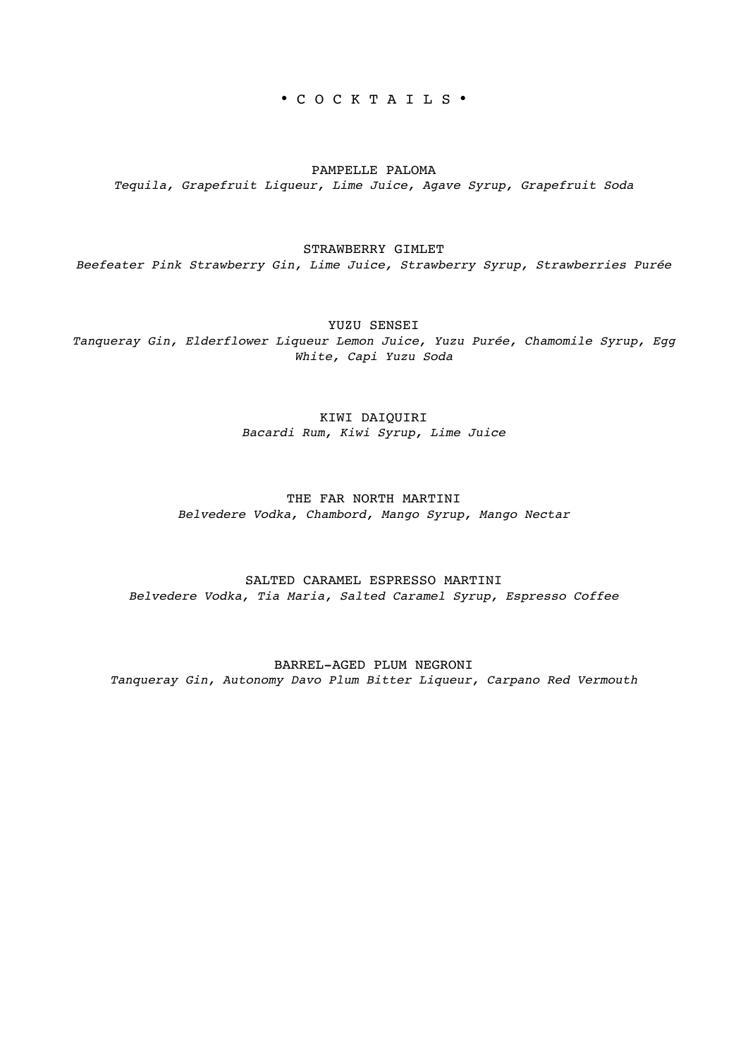• C O C K T A I L S •

PAMPELLE PALOMA *Tequila, Grapefruit Liqueur, Lime Juice, Agave Syrup, Grapefruit Soda* 

#### STRAWBERRY GIMLET

*Beefeater Pink Strawberry Gin, Lime Juice, Strawberry Syrup, Strawberries Purée* 

YUZU SENSET

*Tanqueray Gin, Elderflower Liqueur Lemon Juice, Yuzu Purée, Chamomile Syrup, Egg White, Capi Yuzu Soda* 

#### KIWI DAIQUIRI *Bacardi Rum, Kiwi Syrup, Lime Juice*

### THE FAR NORTH MARTINI *Belvedere Vodka, Chambord, Mango Syrup, Mango Nectar*

SALTED CARAMEL ESPRESSO MARTINI *Belvedere Vodka, Tia Maria, Salted Caramel Syrup, Espresso Coffee* 

BARREL-AGED PLUM NEGRONI *Tanqueray Gin, Autonomy Davo Plum Bitter Liqueur, Carpano Red Vermouth*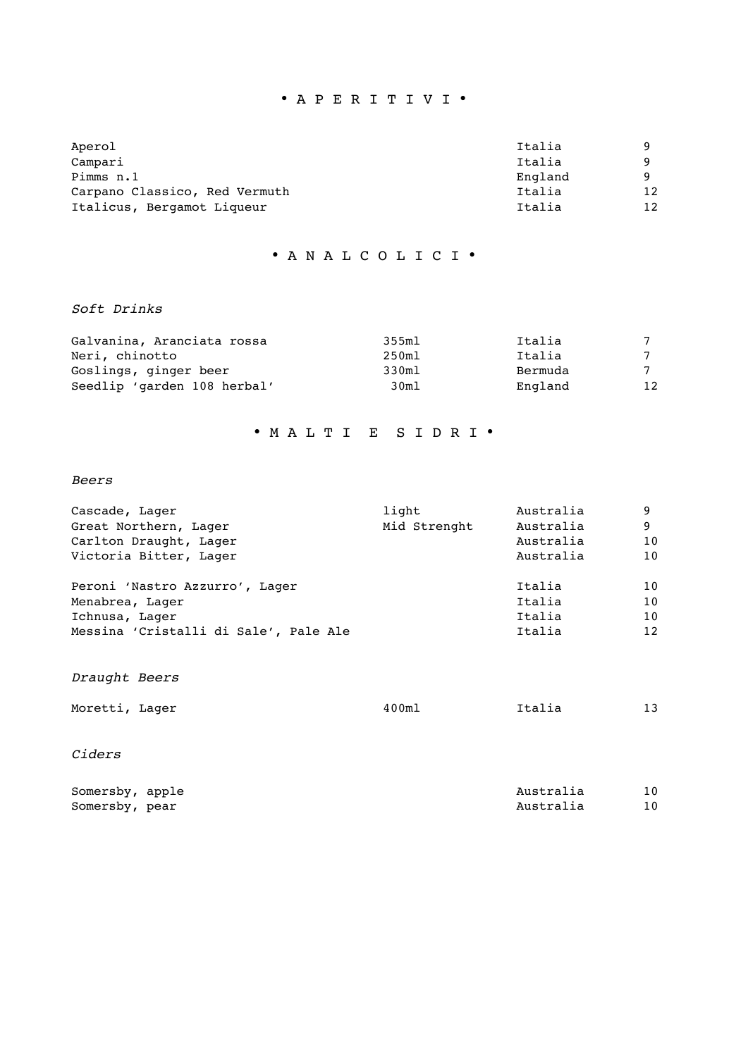# • A P E R I T I V I •

| Aperol                        | Italia  | Q        |
|-------------------------------|---------|----------|
| Campari                       | Italia  | <b>Q</b> |
| Pimms n.1                     | England | <b>Q</b> |
| Carpano Classico, Red Vermuth | Italia  | 12       |
| Italicus, Bergamot Liqueur    | Italia  | 12       |

## • A N A L C O L I C I •

### *Soft Drinks*

| Galvanina, Aranciata rossa  | 355ml | Italia  |    |
|-----------------------------|-------|---------|----|
| Neri, chinotto              | 250ml | Italia  |    |
| Goslings, ginger beer       | 330ml | Bermuda |    |
| Seedlip 'garden 108 herbal' | 30m1  | England | 12 |

## • M A L T I E S I D R I •

### *Beers*

| light        | Australia | 9  |
|--------------|-----------|----|
| Mid Strenght | Australia | 9  |
|              | Australia | 10 |
|              | Australia | 10 |
|              | Italia    | 10 |
|              | Italia    | 10 |
|              | Italia    | 10 |
|              | Italia    | 12 |
|              |           |    |

# *Draught Beers*

| Moretti, Lager | 400m1 | Italia |  |
|----------------|-------|--------|--|
|                |       |        |  |

## *Ciders*

| Somersby, apple | Australia |  |
|-----------------|-----------|--|
| Somersby, pear  | Australia |  |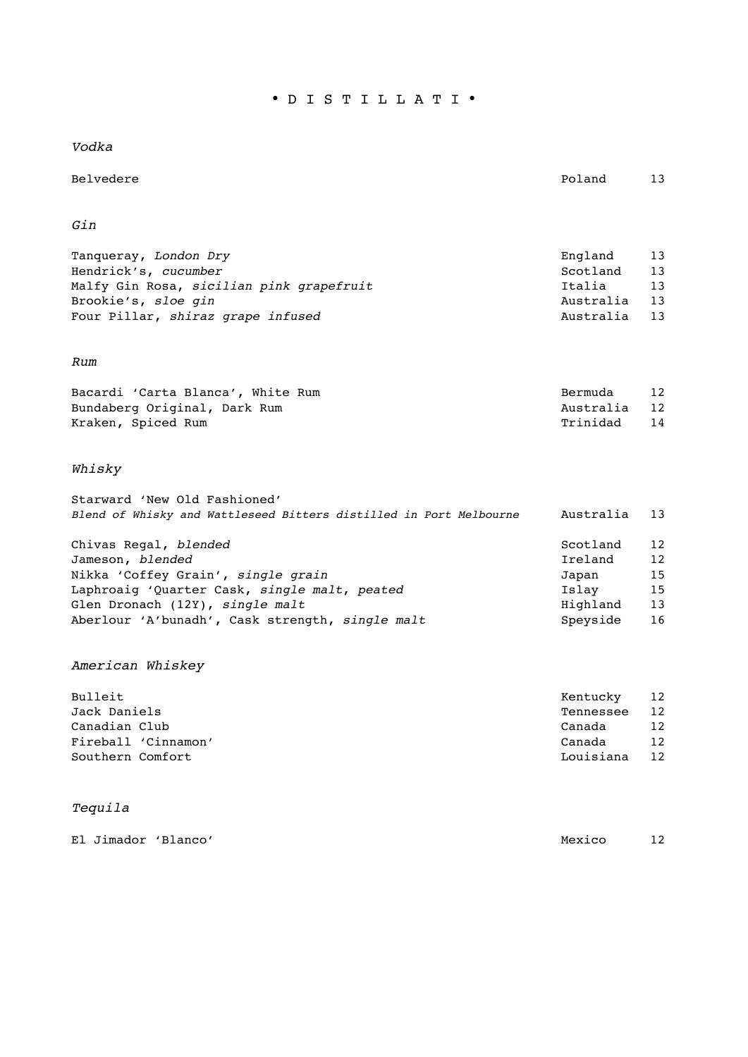• D I S T I L L A T I •

*Vodka* 

Belvedere Poland 13

## *Gin*

| Tanqueray, London Dry                    | England   | 13 |
|------------------------------------------|-----------|----|
| Hendrick's, cucumber                     | Scotland  | 13 |
| Malfy Gin Rosa, sicilian pink grapefruit | Italia    | 13 |
| Brookie's, sloe gin                      | Australia | 13 |
| Four Pillar, shiraz grape infused        | Australia | 13 |

## *Rum*

| Bacardi 'Carta Blanca', White Rum | Bermuda   | 12 |
|-----------------------------------|-----------|----|
| Bundaberg Original, Dark Rum      | Australia | 12 |
| Kraken, Spiced Rum                | Trinidad  | 14 |

# *Whisky*

| Starward 'New Old Fashioned'                                       |                                         |                 |
|--------------------------------------------------------------------|-----------------------------------------|-----------------|
| Blend of Whisky and Wattleseed Bitters distilled in Port Melbourne | Australia                               | 13              |
|                                                                    |                                         |                 |
| Chivas Regal, blended                                              | Scotland                                | 12              |
| Jameson, blended                                                   | Ireland                                 | 12 <sub>2</sub> |
| $M_2$ kka $ICAff$ ou Croin $I$ aingle grain                        | $T \cap \mathfrak{m} \cap \mathfrak{m}$ | 1 E             |

| Nikka 'Coffey Grain', single grain              | Japan    | 15 |
|-------------------------------------------------|----------|----|
| Laphroaig 'Ouarter Cask, single malt, peated    | Islav    | 15 |
| Glen Dronach (12Y), single malt                 | Highland | 13 |
| Aberlour 'A'bunadh', Cask strength, single malt | Spevside | 16 |

# *American Whiskey*

| Bulleit             | Kentucky  | 12 |
|---------------------|-----------|----|
| Jack Daniels        | Tennessee | 12 |
| Canadian Club       | Canada    | 12 |
| Fireball 'Cinnamon' | Canada    | 12 |
| Southern Comfort    | Louisiana | 12 |

# *Tequila*

|  | El Jimador 'Blanco' | Mexico | 12 |
|--|---------------------|--------|----|
|  |                     |        |    |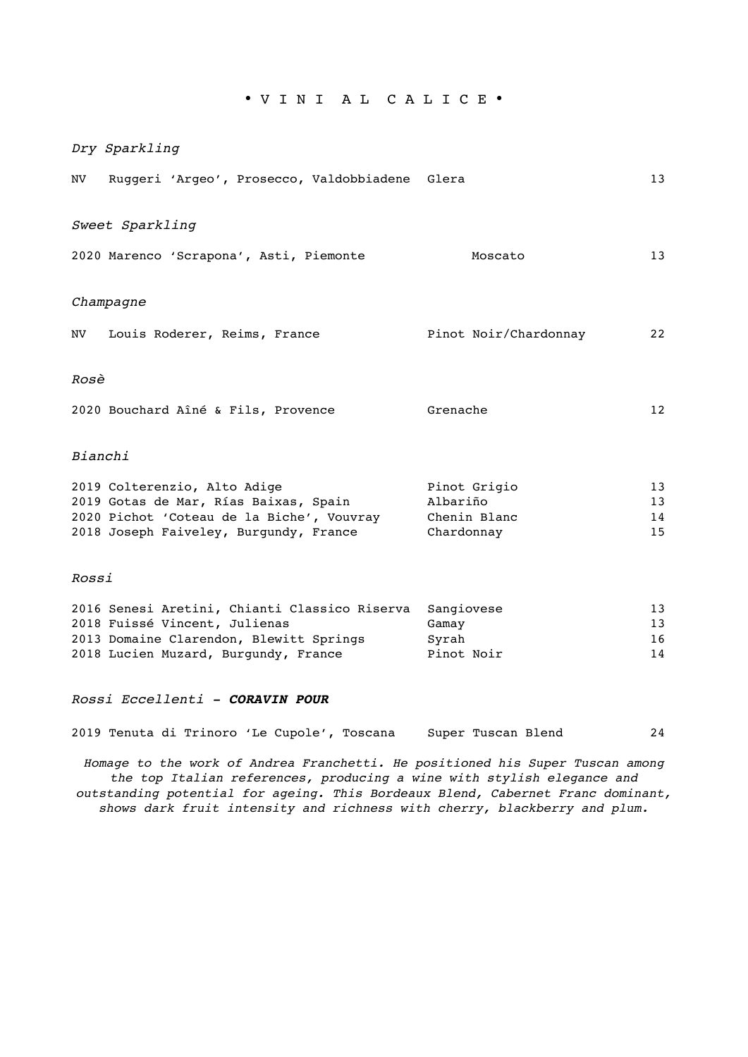• V I N I A L C A L I C E •

|         | Dry Sparkling                                                                                                                                                             |                                        |                      |
|---------|---------------------------------------------------------------------------------------------------------------------------------------------------------------------------|----------------------------------------|----------------------|
| NV      | Ruggeri 'Argeo', Prosecco, Valdobbiadene Glera                                                                                                                            |                                        | 13                   |
|         | Sweet Sparkling                                                                                                                                                           |                                        |                      |
|         | 2020 Marenco 'Scrapona', Asti, Piemonte                                                                                                                                   | Moscato                                | 13                   |
|         | Champagne                                                                                                                                                                 |                                        |                      |
|         | NV Louis Roderer, Reims, France                                                                                                                                           | Pinot Noir/Chardonnay                  | 22                   |
| Rosè    |                                                                                                                                                                           |                                        |                      |
|         | 2020 Bouchard Aîné & Fils, Provence                                                                                                                                       | Grenache                               | 12                   |
| Bianchi |                                                                                                                                                                           |                                        |                      |
|         | 2019 Colterenzio, Alto Adige<br>2019 Gotas de Mar, Rías Baixas, Spain<br>2020 Pichot 'Coteau de la Biche', Vouvray Chenin Blanc<br>2018 Joseph Faiveley, Burgundy, France | Pinot Grigio<br>Albariño<br>Chardonnay | 13<br>13<br>14<br>15 |
| Rossi   |                                                                                                                                                                           |                                        |                      |

| 2016 Senesi Aretini, Chianti Classico Riserva | Sangiovese | 13 |
|-----------------------------------------------|------------|----|
| 2018 Fuissé Vincent, Julienas                 | Gamav      | 13 |
| 2013 Domaine Clarendon, Blewitt Springs       | Svrah      | 16 |
| 2018 Lucien Muzard, Burgundy, France          | Pinot Noir | 14 |

#### *Rossi Eccellenti - CORAVIN POUR*

2019 Tenuta di Trinoro 'Le Cupole', Toscana Super Tuscan Blend 24

*Homage to the work of Andrea Franchetti. He positioned his Super Tuscan among the top Italian references, producing a wine with stylish elegance and outstanding potential for ageing. This Bordeaux Blend, Cabernet Franc dominant, shows dark fruit intensity and richness with cherry, blackberry and plum.*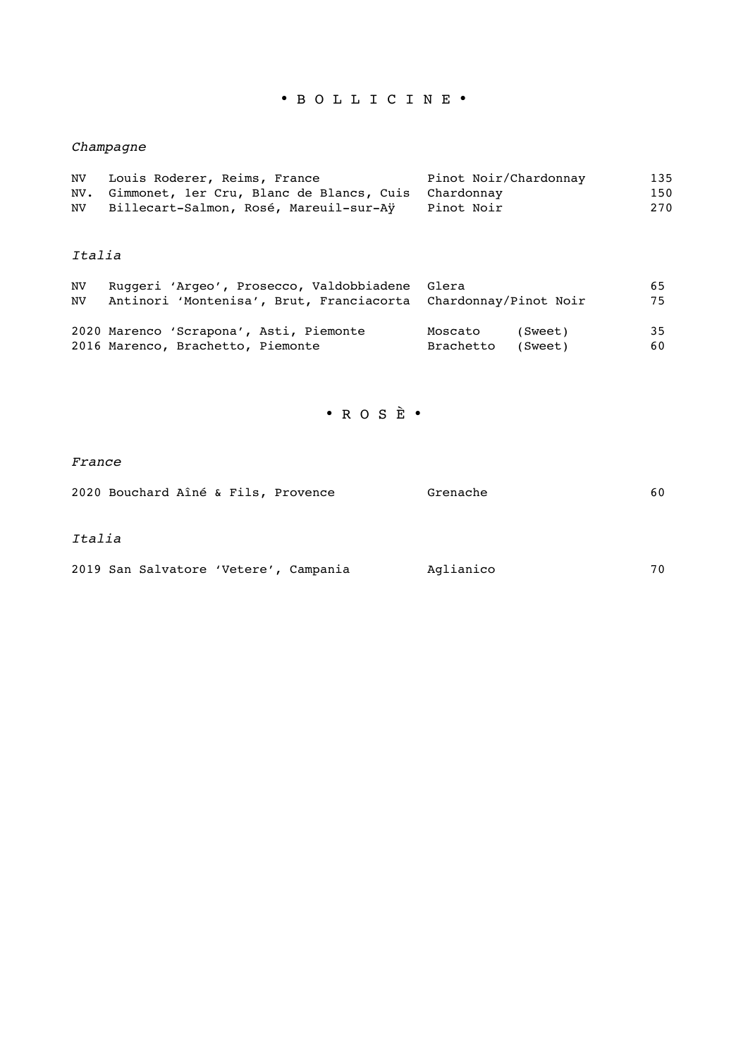# • B O L L I C I N E •

# *Champagne*

| NV. | Louis Roderer, Reims, France                            | Pinot Noir/Chardonnay | 135 |
|-----|---------------------------------------------------------|-----------------------|-----|
|     | NV. Gimmonet, ler Cru, Blanc de Blancs, Cuis Chardonnay |                       | 150 |
| NV. | Billecart-Salmon, Rosé, Mareuil-sur-Aÿ                  | Pinot Noir            | 270 |

## *Italia*

| NV. | Ruggeri 'Argeo', Prosecco, Valdobbiadene Glera                 |                      | 65 |
|-----|----------------------------------------------------------------|----------------------|----|
| NV. | Antinori 'Montenisa', Brut, Franciacorta Chardonnay/Pinot Noir |                      | 75 |
|     |                                                                |                      |    |
|     | 2020 Marenco 'Scrapona', Asti, Piemonte                        | Moscato<br>(Sweet)   | 35 |
|     | 2016 Marenco, Brachetto, Piemonte                              | Brachetto<br>(Sweet) | 60 |

• R O S È •

### *France*

|        |  | 2020 Bouchard Aîné & Fils, Provence   | Grenache  | 60 |
|--------|--|---------------------------------------|-----------|----|
| Italia |  |                                       |           |    |
|        |  | 2019 San Salvatore 'Vetere', Campania | Aglianico | 70 |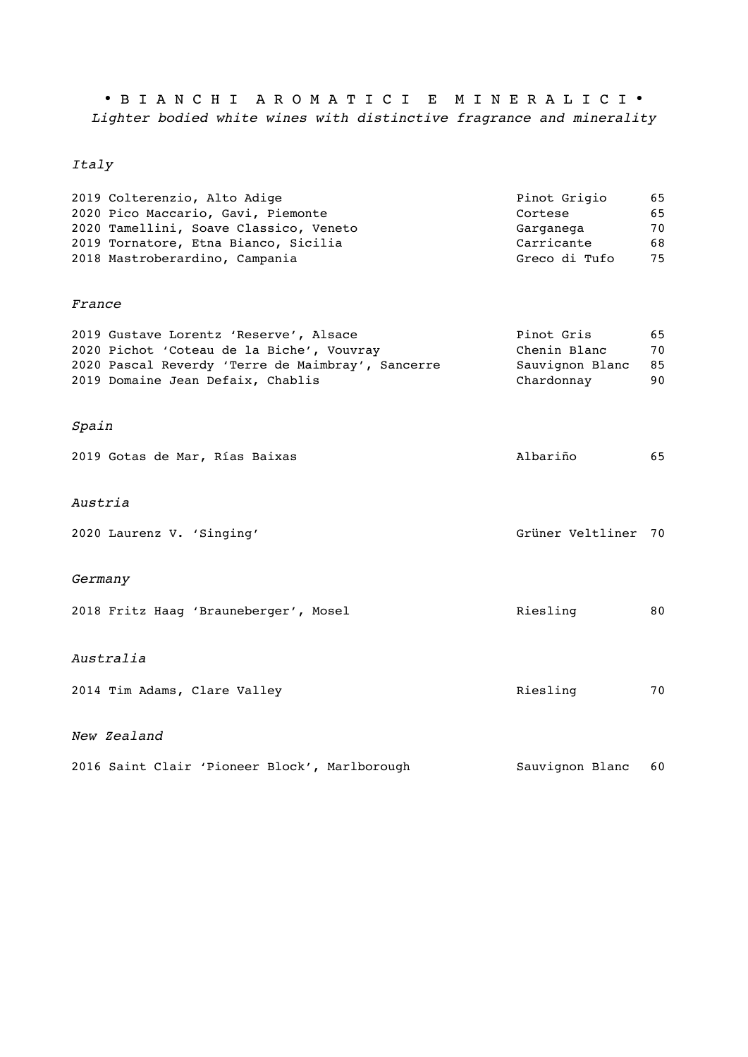• B I A N C H I A R O M A T I C I E M I N E R A L I C I • *Lighter bodied white wines with distinctive fragrance and minerality*

# *Italy*

| 2019 Colterenzio, Alto Adige           | Pinot Grigio  | 65 |
|----------------------------------------|---------------|----|
| 2020 Pico Maccario, Gavi, Piemonte     | Cortese       | 65 |
| 2020 Tamellini, Soave Classico, Veneto | Garganega     | 70 |
| 2019 Tornatore, Etna Bianco, Sicilia   | Carricante    | 68 |
| 2018 Mastroberardino, Campania         | Greco di Tufo | 75 |
|                                        |               |    |

### *France*

| 2019 Gustave Lorentz 'Reserve', Alsace            | Pinot Gris      | 65 |
|---------------------------------------------------|-----------------|----|
| 2020 Pichot 'Coteau de la Biche', Vouvray         | Chenin Blanc    | 70 |
| 2020 Pascal Reverdy 'Terre de Maimbray', Sancerre | Sauvignon Blanc | 85 |
| 2019 Domaine Jean Defaix, Chablis                 | Chardonnay      | 90 |

# *Spain*

| 2019 Gotas de Mar, Rías Baixas        | Albariño            | 65 |
|---------------------------------------|---------------------|----|
| Austria                               |                     |    |
| 2020 Laurenz V. 'Singing'             | Grüner Veltliner 70 |    |
| Germany                               |                     |    |
| 2018 Fritz Haag 'Brauneberger', Mosel | Riesling            | 80 |
| Australia                             |                     |    |
| 2014 Tim Adams, Clare Valley          | Riesling            | 70 |

### *New Zealand*

|  |  | 2016 Saint Clair 'Pioneer Block', Marlborough | Sauvignon Blanc 60 |  |
|--|--|-----------------------------------------------|--------------------|--|
|  |  |                                               |                    |  |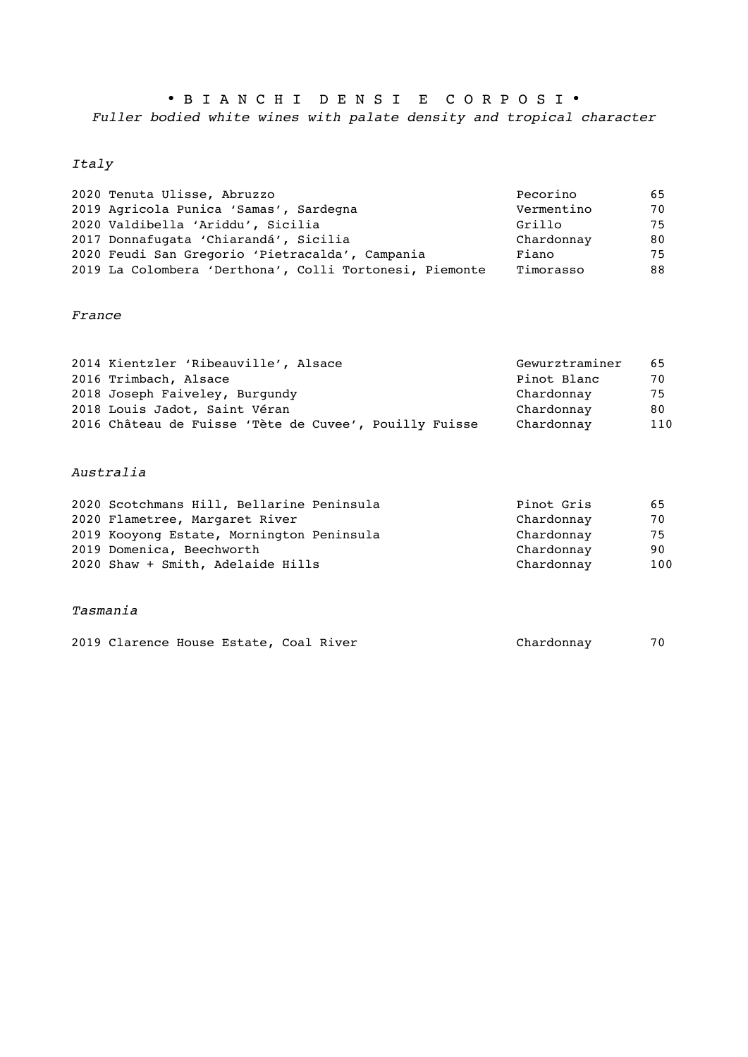• B I A N C H I D E N S I E C O R P O S I • *Fuller bodied white wines with palate density and tropical character* 

## *Italy*

| 2020 Tenuta Ulisse, Abruzzo                             | Pecorino   | 65 |
|---------------------------------------------------------|------------|----|
| 2019 Agricola Punica 'Samas', Sardegna                  | Vermentino | 70 |
| 2020 Valdibella 'Ariddu', Sicilia                       | Grillo     | 75 |
| 2017 Donnafugata 'Chiarandá', Sicilia                   | Chardonnay | 80 |
| 2020 Feudi San Gregorio 'Pietracalda', Campania         | Fiano      | 75 |
| 2019 La Colombera 'Derthona', Colli Tortonesi, Piemonte | Timorasso  | 88 |

## *France*

| 2014 Kientzler 'Ribeauville', Alsace                   | Gewurztraminer | 65  |
|--------------------------------------------------------|----------------|-----|
| 2016 Trimbach, Alsace                                  | Pinot Blanc    | 70  |
| 2018 Joseph Faiveley, Burgundy                         | Chardonnav     | 75  |
| 2018 Louis Jadot, Saint Véran                          | Chardonnay     | 80. |
| 2016 Château de Fuisse 'Tète de Cuvee', Pouilly Fuisse | Chardonnay     | 110 |

## *Australia*

| 2020 Scotchmans Hill, Bellarine Peninsula | Pinot Gris | 65  |
|-------------------------------------------|------------|-----|
| 2020 Flametree, Margaret River            | Chardonnay | 70  |
| 2019 Kooyong Estate, Mornington Peninsula | Chardonnay | 75  |
| 2019 Domenica, Beechworth                 | Chardonnay | 90  |
| 2020 Shaw + Smith, Adelaide Hills         | Chardonnay | 100 |

#### *Tasmania*

| 2019 Clarence House Estate, Coal River | Chardonnav | 70 |
|----------------------------------------|------------|----|
|----------------------------------------|------------|----|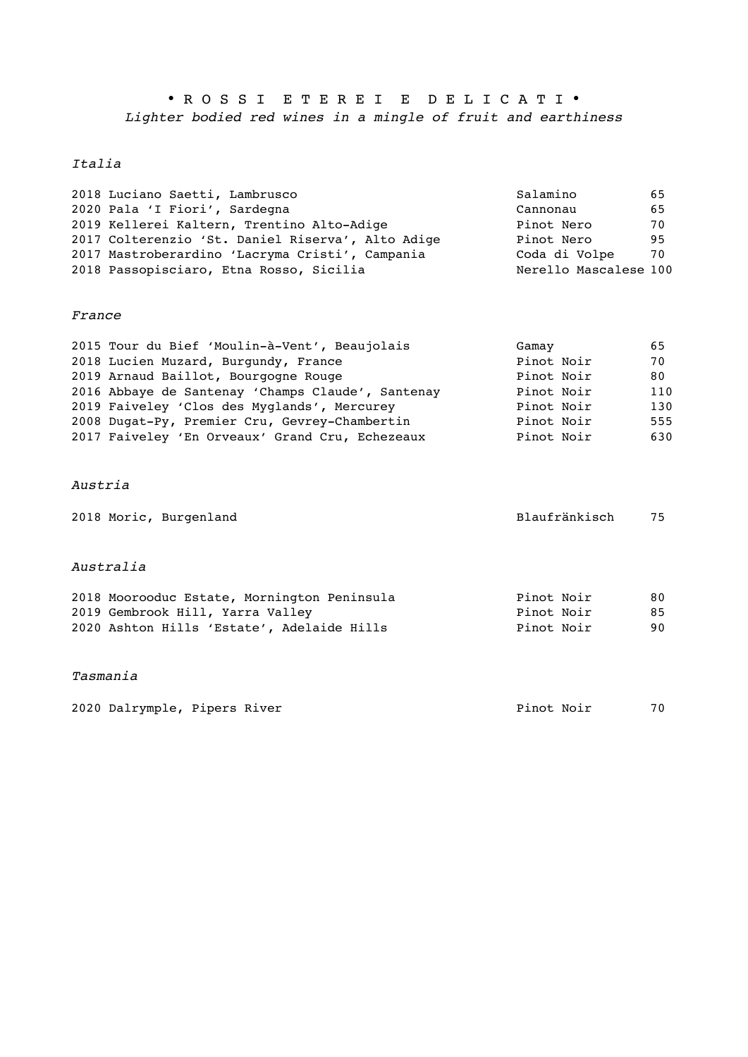• R O S S I E T E R E I E D E L I C A T I • *Lighter bodied red wines in a mingle of fruit and earthiness* 

## *Italia*

| 2018 Luciano Saetti, Lambrusco                    | Salamino              | 65 |
|---------------------------------------------------|-----------------------|----|
| 2020 Pala 'I Fiori', Sardegna                     | Cannonau              | 65 |
| 2019 Kellerei Kaltern, Trentino Alto-Adige        | Pinot Nero            | 70 |
| 2017 Colterenzio 'St. Daniel Riserva', Alto Adige | Pinot Nero            | 95 |
| 2017 Mastroberardino 'Lacryma Cristi', Campania   | Coda di Volpe         | 70 |
| 2018 Passopisciaro, Etna Rosso, Sicilia           | Nerello Mascalese 100 |    |

#### *France*

| 2015 Tour du Bief 'Moulin-à-Vent', Beaujolais     | Gamay      | 65  |
|---------------------------------------------------|------------|-----|
| 2018 Lucien Muzard, Burgundy, France              | Pinot Noir | 70  |
| 2019 Arnaud Baillot, Bourgogne Rouge              | Pinot Noir | 80  |
| 2016 Abbaye de Santenay 'Champs Claude', Santenay | Pinot Noir | 110 |
| 2019 Faiveley 'Clos des Myglands', Mercurey       | Pinot Noir | 130 |
| 2008 Dugat-Py, Premier Cru, Gevrey-Chambertin     | Pinot Noir | 555 |
| 2017 Faiveley 'En Orveaux' Grand Cru, Echezeaux   | Pinot Noir | 630 |

#### *Austria*

| 2018 Moric, Burgenland | Blaufränkisch | 75 |
|------------------------|---------------|----|
|------------------------|---------------|----|

#### *Australia*

| 2018 Moorooduc Estate, Mornington Peninsula | Pinot Noir | 80 |
|---------------------------------------------|------------|----|
| 2019 Gembrook Hill, Yarra Valley            | Pinot Noir | 85 |
| 2020 Ashton Hills 'Estate', Adelaide Hills  | Pinot Noir | 90 |

#### *Tasmania*

2020 Dalrymple, Pipers River **Pinot Noir** Pinot Noir 70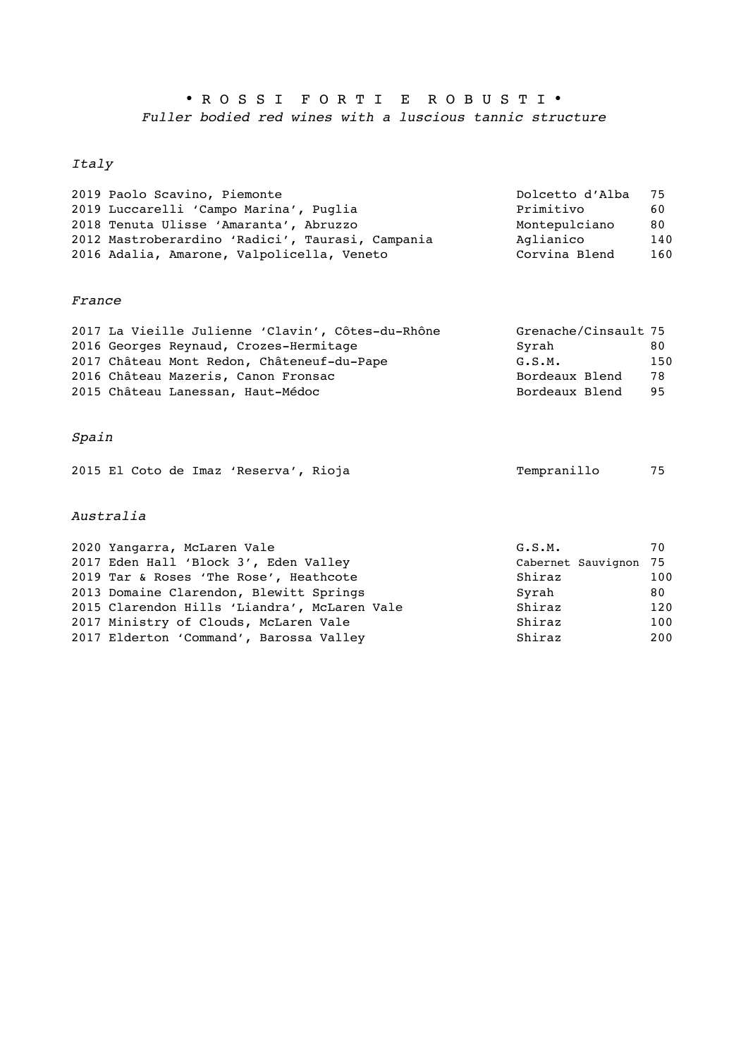# • R O S S I F O R T I E R O B U S T I • *Fuller bodied red wines with a luscious tannic structure*

# *Italy*

| 2019 Paolo Scavino, Piemonte                     | Dolcetto d'Alba 75 |     |
|--------------------------------------------------|--------------------|-----|
| 2019 Luccarelli 'Campo Marina', Puglia           | Primitivo          | 60  |
| 2018 Tenuta Ulisse 'Amaranta', Abruzzo           | Montepulciano      | 80  |
| 2012 Mastroberardino 'Radici', Taurasi, Campania | Aglianico          | 140 |
| 2016 Adalia, Amarone, Valpolicella, Veneto       | Corvina Blend      | 160 |
|                                                  |                    |     |

## *France*

| 2017 La Vieille Julienne 'Clavin', Côtes-du-Rhône | Grenache/Cinsault 75 |     |
|---------------------------------------------------|----------------------|-----|
| 2016 Georges Reynaud, Crozes-Hermitage            | Syrah                | 80  |
| 2017 Château Mont Redon, Châteneuf-du-Pape        | G.S.M.               | 150 |
| 2016 Château Mazeris, Canon Fronsac               | Bordeaux Blend       | 78  |
| 2015 Château Lanessan, Haut-Médoc                 | Bordeaux Blend       | 95  |

# *Spain*

|  |  |  | 2015 El Coto de Imaz 'Reserva', Rioja |  | Tempranillo | 75 |
|--|--|--|---------------------------------------|--|-------------|----|
|--|--|--|---------------------------------------|--|-------------|----|

## *Australia*

| 2020 Yangarra, McLaren Vale                  | G.S.M.                | 70  |
|----------------------------------------------|-----------------------|-----|
| 2017 Eden Hall 'Block 3', Eden Valley        | Cabernet Sauvignon 75 |     |
| 2019 Tar & Roses 'The Rose', Heathcote       | Shiraz                | 100 |
| 2013 Domaine Clarendon, Blewitt Springs      | Svrah                 | 80  |
| 2015 Clarendon Hills 'Liandra', McLaren Vale | Shiraz                | 120 |
| 2017 Ministry of Clouds, McLaren Vale        | Shiraz                | 100 |
| 2017 Elderton 'Command', Barossa Valley      | Shiraz                | 200 |
|                                              |                       |     |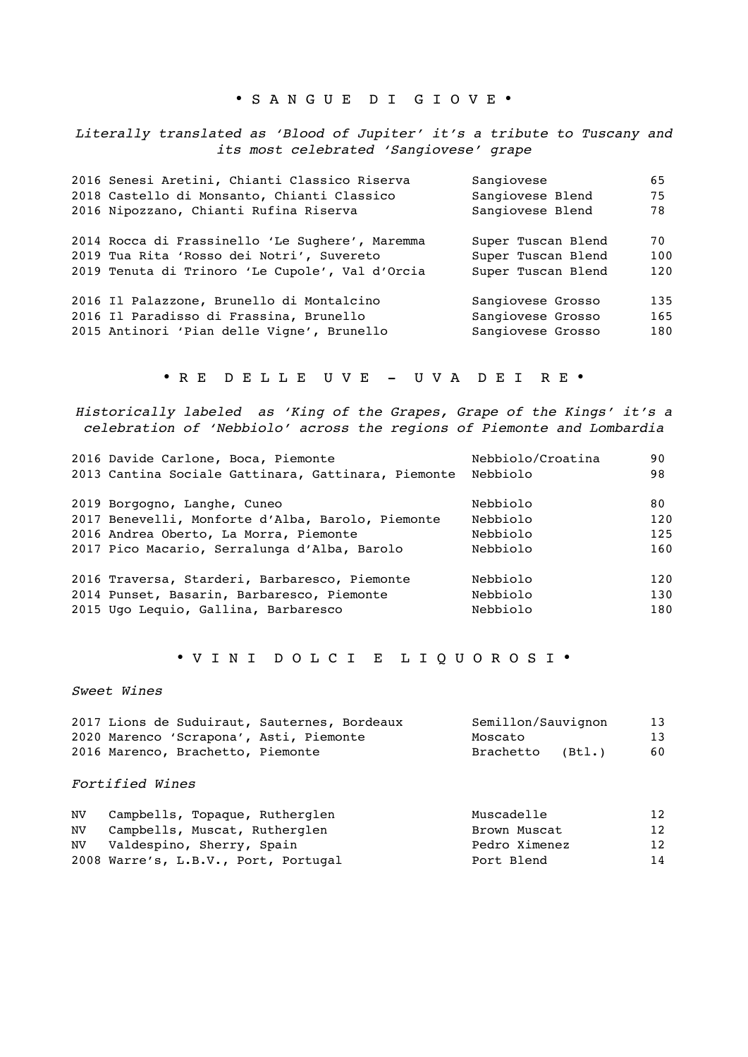#### • S A N G U E D I G I O V E •

*Literally translated as 'Blood of Jupiter' it's a tribute to Tuscany and its most celebrated 'Sangiovese' grape*

| 2016 Senesi Aretini, Chianti Classico Riserva   | Sangiovese         | 65  |
|-------------------------------------------------|--------------------|-----|
| 2018 Castello di Monsanto, Chianti Classico     | Sangiovese Blend   | 75  |
| 2016 Nipozzano, Chianti Rufina Riserva          | Sangiovese Blend   | 78  |
| 2014 Rocca di Frassinello 'Le Sughere', Maremma | Super Tuscan Blend | 70  |
| 2019 Tua Rita 'Rosso dei Notri', Suvereto       | Super Tuscan Blend | 100 |
| 2019 Tenuta di Trinoro 'Le Cupole', Val d'Orcia | Super Tuscan Blend | 120 |
| 2016 Il Palazzone, Brunello di Montalcino       | Sangiovese Grosso  | 135 |
| 2016 Il Paradisso di Frassina, Brunello         | Sangiovese Grosso  | 165 |
| 2015 Antinori 'Pian delle Vigne', Brunello      | Sangiovese Grosso  | 180 |

• R E D E L L E U V E - U V A D E I R E •

*Historically labeled as 'King of the Grapes, Grape of the Kings' it's a celebration of 'Nebbiolo' across the regions of Piemonte and Lombardia* 

| 2016 Davide Carlone, Boca, Piemonte                 | Nebbiolo/Croatina | 90  |
|-----------------------------------------------------|-------------------|-----|
| 2013 Cantina Sociale Gattinara, Gattinara, Piemonte | Nebbiolo          | 98  |
| 2019 Borgogno, Langhe, Cuneo                        | Nebbiolo          | 80  |
| 2017 Benevelli, Monforte d'Alba, Barolo, Piemonte   | Nebbiolo          | 120 |
| 2016 Andrea Oberto, La Morra, Piemonte              | Nebbiolo          | 125 |
| 2017 Pico Macario, Serralunga d'Alba, Barolo        | Nebbiolo          | 160 |
| 2016 Traversa, Starderi, Barbaresco, Piemonte       | Nebbiolo          | 120 |
| 2014 Punset, Basarin, Barbaresco, Piemonte          | Nebbiolo          | 130 |
| 2015 Ugo Leguio, Gallina, Barbaresco                | Nebbiolo          | 180 |

### • V I N I D O L C I E L I Q U O R O S I •

#### *Sweet Wines*

|                                         | 2017 Lions de Suduiraut, Sauternes, Bordeaux | Semillon/Sauvignon | 13 |
|-----------------------------------------|----------------------------------------------|--------------------|----|
| 2020 Marenco 'Scrapona', Asti, Piemonte |                                              | Moscato            | 13 |
| 2016 Marenco, Brachetto, Piemonte       |                                              | Brachetto (Btl.)   | 60 |

#### *Fortified Wines*

| NV Campbells, Topaque, Rutherglen    | Muscadelle    | 12 |
|--------------------------------------|---------------|----|
| NV Campbells, Muscat, Rutherglen     | Brown Muscat  | 12 |
| NV Valdespino, Sherry, Spain         | Pedro Ximenez | 12 |
| 2008 Warre's, L.B.V., Port, Portugal | Port Blend    | 14 |